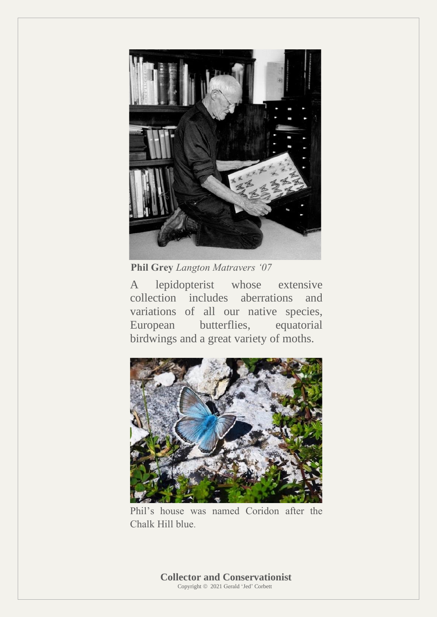

 **Phil Grey** *Langton Matravers '07*

A lepidopterist whose extensive collection includes aberrations and variations of all our native species, European butterflies, equatorial birdwings and a great variety of moths.



Phil's house was named Coridon after the Chalk Hill blue.

 **Collector and Conservationist** Copyright © 2021 Gerald 'Jed' Corbett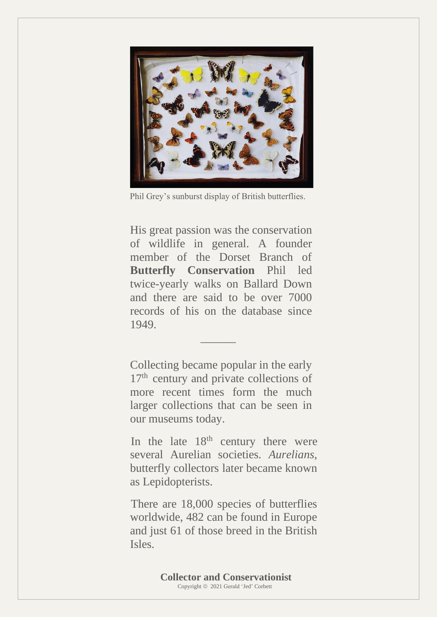

Phil Grey's sunburst display of British butterflies.

His great passion was the conservation of wildlife in general. A founder member of the Dorset Branch of **Butterfly Conservation** Phil led twice-yearly walks on Ballard Down and there are said to be over 7000 records of his on the database since 1949.

Collecting became popular in the early 17<sup>th</sup> century and private collections of more recent times form the much larger collections that can be seen in our museums today.

 $\mathcal{L}=\mathcal{L}^{\mathcal{L}}$  , where  $\mathcal{L}^{\mathcal{L}}$ 

In the late  $18<sup>th</sup>$  century there were several Aurelian societies*. Aurelians*, butterfly collectors later became known as Lepidopterists.

 There are 18,000 species of butterflies worldwide, 482 can be found in Europe and just 61 of those breed in the British Isles.